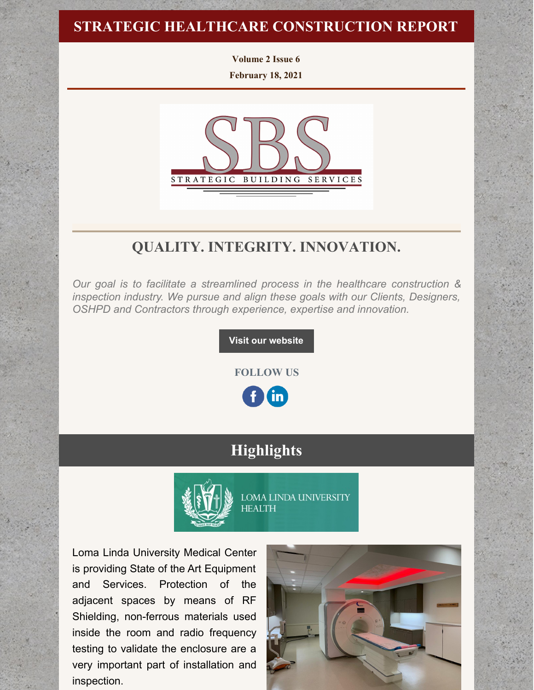## **STRATEGIC HEALTHCARE CONSTRUCTION REPORT**

**Volume 2 Issue 6**

**February 18, 2021**



## **QUALITY. INTEGRITY. INNOVATION.**

*Our goal is to facilitate a streamlined process in the healthcare construction & inspection industry. We pursue and align these goals with our Clients, Designers, OSHPD and Contractors through experience, expertise and innovation.*

**Visit our [website](http://www.strategic-building.com/)**

**FOLLOW US**

 $\mathbf{in}$ 

## **Highlights**



**LOMA LINDA UNIVERSITY HEALTH** 

Loma Linda University Medical Center is providing State of the Art Equipment and Services. Protection of the adjacent spaces by means of RF Shielding, non-ferrous materials used inside the room and radio frequency testing to validate the enclosure are a very important part of installation and inspection.

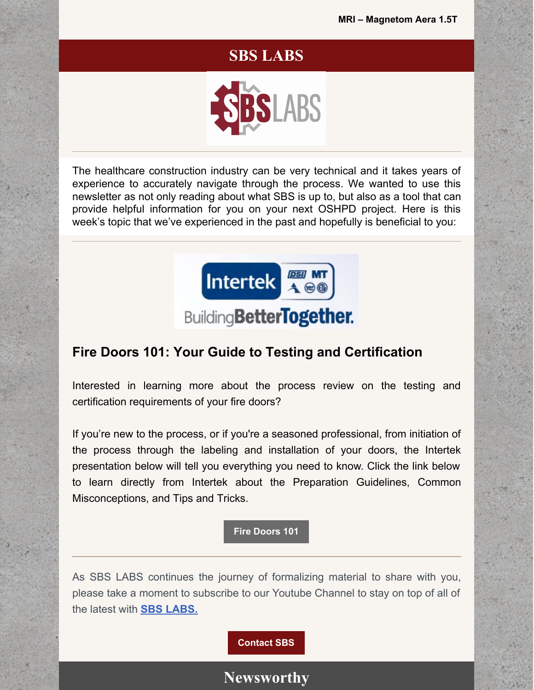## **SBS LABS**



The healthcare construction industry can be very technical and it takes years of experience to accurately navigate through the process. We wanted to use this newsletter as not only reading about what SBS is up to, but also as a tool that can provide helpful information for you on your next OSHPD project. Here is this week's topic that we've experienced in the past and hopefully is beneficial to you:



## **BuildingBetterTogether.**

### **Fire Doors 101: Your Guide to Testing and Certification**

Interested in learning more about the process review on the testing and certification requirements of your fire doors?

If you're new to the process, or if you're a seasoned professional, from initiation of the process through the labeling and installation of your doors, the Intertek presentation below will tell you everything you need to know. Click the link below to learn directly from Intertek about the Preparation Guidelines, Common Misconceptions, and Tips and Tricks.

**Fire [Doors](https://files.constantcontact.com/7250dab0801/85e5bd67-b970-4643-82cc-62cb448ec30d.pdf) 101**

As SBS LABS continues the journey of formalizing material to share with you, please take a moment to subscribe to our Youtube Channel to stay on top of all of the latest with **SBS [LABS.](https://www.youtube.com/channel/UCfR7qiqf9X9tzNf1jD-an_Q)**

**[Contact](http://www.strategic-building.com/contacts) SBS**

## **Newsworthy**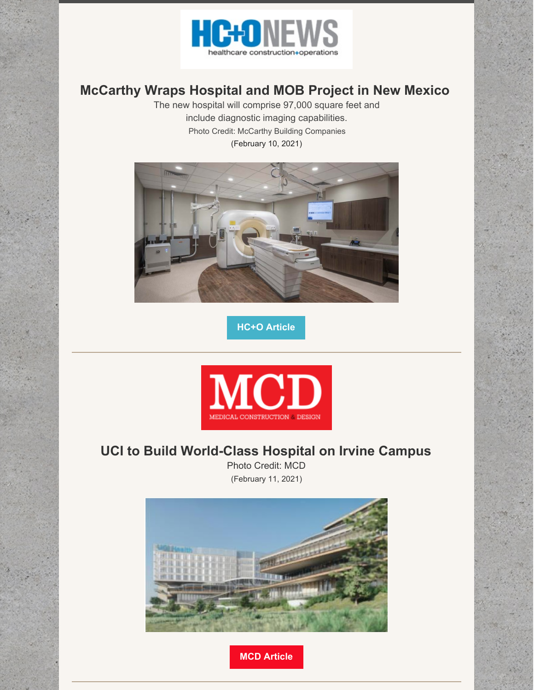

## **McCarthy Wraps Hospital and MOB Project in New Mexico**

The new hospital will comprise 97,000 square feet and include diagnostic imaging capabilities. Photo Credit: McCarthy Building Companies (February 10, 2021)



**HC+O [Article](http://hconews.com/2021/02/10/mccarthy-wraps-hospital-and-mob-project-in-new-mexico/)**



## **UCI to Build World-Class Hospital on Irvine Campus**

Photo Credit: MCD (February 11, 2021)

![](_page_2_Picture_8.jpeg)

**MCD [Article](https://mcdmag.com/2021/02/uci-to-build-world-class-hospital-on-irvine-campus/#more-27272)**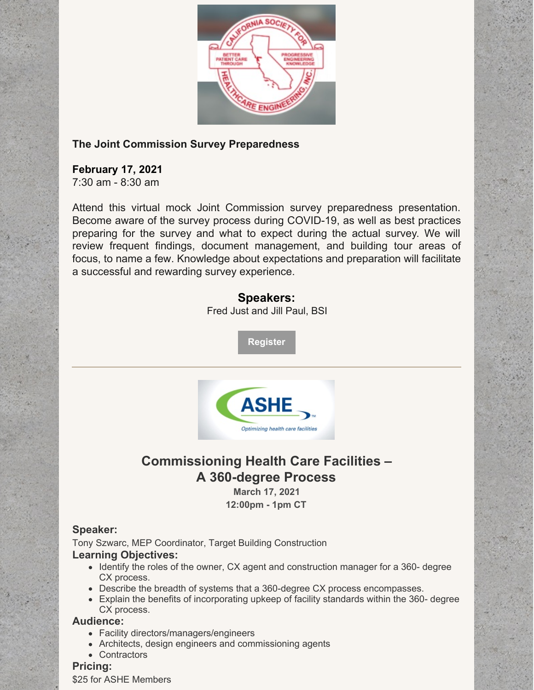![](_page_3_Picture_0.jpeg)

### **The Joint Commission Survey Preparedness**

### **February 17, 2021**

7:30 am - 8:30 am

Attend this virtual mock Joint Commission survey preparedness presentation. Become aware of the survey process during COVID-19, as well as best practices preparing for the survey and what to expect during the actual survey. We will review frequent findings, document management, and building tour areas of focus, to name a few. Knowledge about expectations and preparation will facilitate a successful and rewarding survey experience.

### **Speakers:**

Fred Just and Jill Paul, BSI

**[Register](https://www.cshe.org/CSHEMEMBER/Events/Event_display_Zoom.aspx?EventKey=LA202102&WebsiteKey=82af383b-574f-4cf9-9c18-6149fa88cef3)**

![](_page_3_Picture_8.jpeg)

## **Commissioning Health Care Facilities – A 360-degree Process**

**March 17, 2021 12:00pm - 1pm CT**

### **Speaker:**

Tony Szwarc, MEP Coordinator, Target Building Construction **Learning Objectives:**

- Identify the roles of the owner, CX agent and construction manager for a 360- degree CX process.
- Describe the breadth of systems that a 360-degree CX process encompasses.
- Explain the benefits of incorporating upkeep of facility standards within the 360- degree CX process.

### **Audience:**

- Facility directors/managers/engineers
- Architects, design engineers and commissioning agents
- Contractors

### **Pricing:**

\$25 for ASHE Members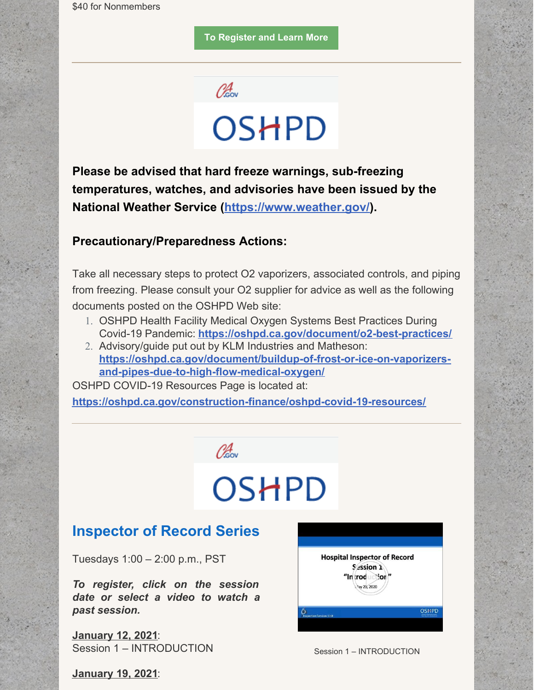**To [Register](https://ams.aha.org/eweb/?ahabu=ASHE&webcode=eventinfo&Reg_evt_key=58310C9A-D920-4A3E-870E-65E5FFC2A6E0) and Learn More**

![](_page_4_Picture_2.jpeg)

**Please be advised that hard freeze warnings, sub-freezing temperatures, watches, and advisories have been issued by the National Weather Service [\(https://www.weather.gov/](https://oshpd.us3.list-manage.com/track/click?u=b5eac4ceeea1d878cfffc1696&id=b5abb149a5&e=bf3938caab)).**

### **Precautionary/Preparedness Actions:**

Take all necessary steps to protect O2 vaporizers, associated controls, and piping from freezing. Please consult your O2 supplier for advice as well as the following documents posted on the OSHPD Web site:

- 1. OSHPD Health Facility Medical Oxygen Systems Best Practices During Covid-19 Pandemic: **[https://oshpd.ca.gov/document/o2-best-practices/](https://oshpd.us3.list-manage.com/track/click?u=b5eac4ceeea1d878cfffc1696&id=9ce85228d6&e=bf3938caab)**
- 2. Advisory/guide put out by KLM Industries and Matheson: **[https://oshpd.ca.gov/document/buildup-of-frost-or-ice-on-vaporizers](https://oshpd.us3.list-manage.com/track/click?u=b5eac4ceeea1d878cfffc1696&id=e080caa3aa&e=bf3938caab)and-pipes-due-to-high-flow-medical-oxygen/**

OSHPD COVID-19 Resources Page is located at:

**[https://oshpd.ca.gov/construction-finance/oshpd-covid-19-resources/](https://oshpd.us3.list-manage.com/track/click?u=b5eac4ceeea1d878cfffc1696&id=229d186d13&e=bf3938caab)**

Okov

## **OSHPD**

## **Inspector of Record Series**

Tuesdays 1:00 – 2:00 p.m., PST

*To register, click on the session date or select a video to watch a past session.*

**[January](https://attendee.gotowebinar.com/register/3608161067287438349) 12, 2021**: Session 1 – INTRODUCTION

![](_page_4_Picture_15.jpeg)

Session 1 – INTRODUCTION

**[January](https://attendee.gotowebinar.com/register/6992767919861084941) 19, 2021**: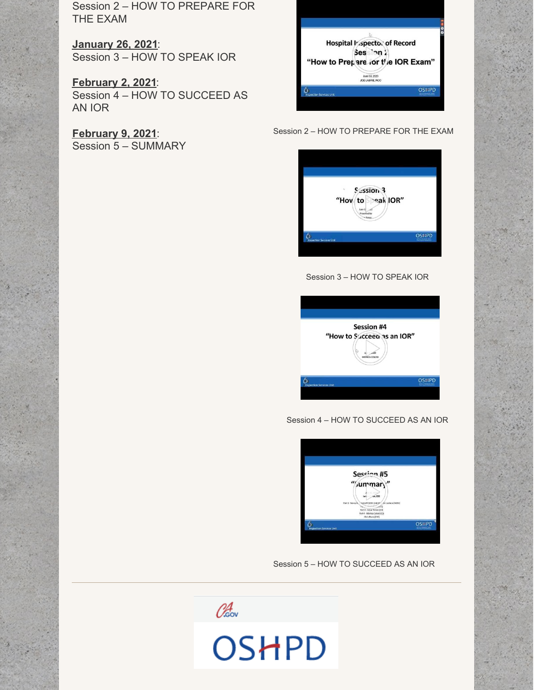Session 2 – HOW TO PREPARE FOR THE EXAM

**[January](https://attendee.gotowebinar.com/register/7528714967215948045) 26, 2021**: Session 3 – HOW TO SPEAK IOR

**[February](https://attendee.gotowebinar.com/register/8881594755961799437) 2, 2021**: Session 4 – HOW TO SUCCEED AS AN IOR

**[February](https://attendee.gotowebinar.com/register/6121453333360375309) 9, 2021**: Session 5 – SUMMARY

| Hospital Vispector of Record      |
|-----------------------------------|
| Ses `on 1                         |
| "How to Prepare for the IOR Exam" |
| June 03, 2020<br>JOE LABRIE, RCO  |
|                                   |

Session 2 – HOW TO PREPARE FOR THE EXAM

![](_page_5_Picture_6.jpeg)

#### Session 3 – HOW TO SPEAK IOR

![](_page_5_Picture_8.jpeg)

Session 4 – HOW TO SUCCEED AS AN IOR

![](_page_5_Picture_10.jpeg)

Session 5 – HOW TO SUCCEED AS AN IOR

![](_page_5_Picture_12.jpeg)

![](_page_5_Picture_13.jpeg)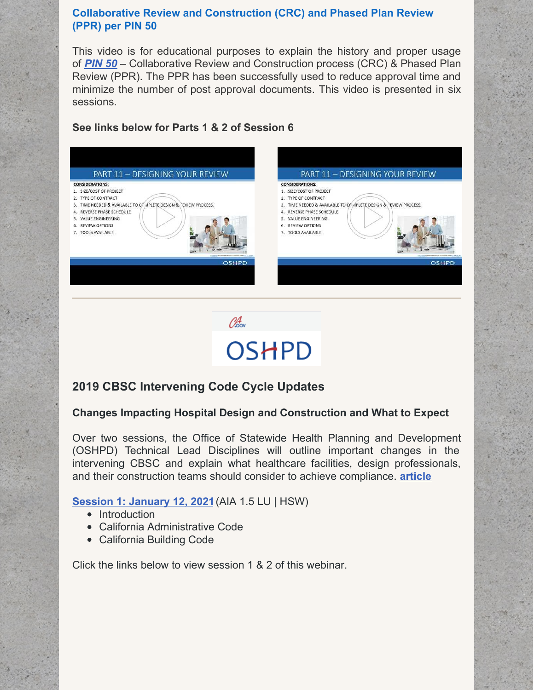### **Collaborative Review and Construction (CRC) and Phased Plan Review (PPR) per PIN 50**

This video is for educational purposes to explain the history and proper usage of *[PIN](https://oshpd.ca.gov/ml/v1/resources/document?rs:path=/Construction-And-Finance/Documents/Resources/Codes-and-Regulations/Policy-Intent-Notices-PINs/PIN-50-Collaborative-Review-and-Construction-Process-CRC-and-Phased-Plan-Review-PPR.pdf) 50* – Collaborative Review and Construction process (CRC) & Phased Plan Review (PPR). The PPR has been successfully used to reduce approval time and minimize the number of post approval documents. This video is presented in six sessions.

### **See links below for Parts 1 & 2 of Session 6**

![](_page_6_Figure_3.jpeg)

![](_page_6_Picture_4.jpeg)

## **2019 CBSC Intervening Code Cycle Updates**

### **Changes Impacting Hospital Design and Construction and What to Expect**

Over two sessions, the Office of Statewide Health Planning and Development (OSHPD) Technical Lead Disciplines will outline important changes in the intervening CBSC and explain what healthcare facilities, design professionals, and their construction teams should consider to achieve compliance. **[article](https://www.krwolfe.com/whats-on-the-horizon-in-2021-for-healthcare-construction/)**

### **Session 1: [January](https://register.gotowebinar.com/register/8451863830849641742) 12, 202[1](https://register.gotowebinar.com/register/8451863830849641742)**(AIA 1.5 LU | HSW)

- Introduction
- California Administrative Code
- California Building Code

Click the links below to view session 1 & 2 of this webinar.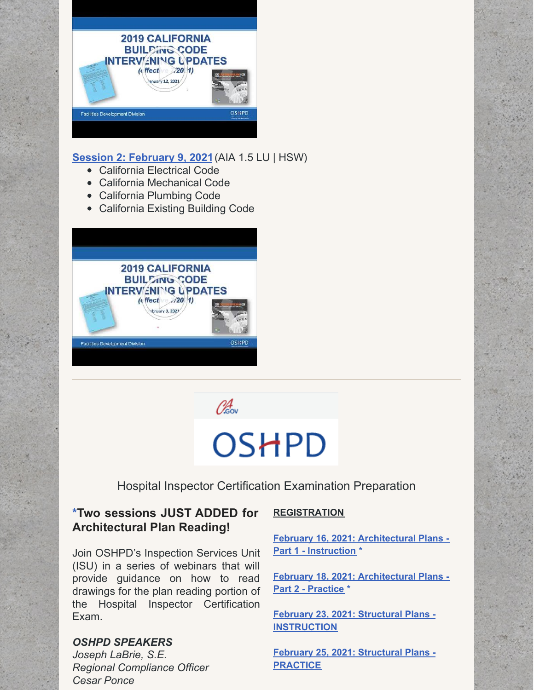![](_page_7_Picture_0.jpeg)

### **Session 2: [February](https://register.gotowebinar.com/register/351030493793057038) 9, 2021**(AIA 1.5 LU | HSW)

- California Electrical Code
- California Mechanical Code
- California Plumbing Code
- California Existing Building Code

![](_page_7_Picture_6.jpeg)

Obsov

# OSHPD

Hospital Inspector Certification Examination Preparation

### **\*Two sessions JUST ADDED for Architectural Plan Reading!**

Join OSHPD's Inspection Services Unit (ISU) in a series of webinars that will provide guidance on how to read drawings for the plan reading portion of the Hospital Inspector Certification Exam.

### *OSHPD SPEAKERS*

*Joseph LaBrie, S.E. Regional Compliance Officer Cesar Ponce*

### **REGISTRATION**

**[February](https://oshpd.us3.list-manage.com/track/click?u=b5eac4ceeea1d878cfffc1696&id=5f17665187&e=bf3938caab) 16, 2021: Architectural Plans - Part 1 - Instruction \***

**[February](https://oshpd.us3.list-manage.com/track/click?u=b5eac4ceeea1d878cfffc1696&id=0955b8ca65&e=bf3938caab) 18, 2021: Architectural Plans - Part 2 - Practice \***

**February 23, 2021: Structural Plans - [INSTRUCTION](https://oshpd.us3.list-manage.com/track/click?u=b5eac4ceeea1d878cfffc1696&id=f4d49de2e3&e=bf3938caab)**

**February 25, 2021: Structural Plans - [PRACTICE](https://oshpd.us3.list-manage.com/track/click?u=b5eac4ceeea1d878cfffc1696&id=c2ba004f16&e=bf3938caab)**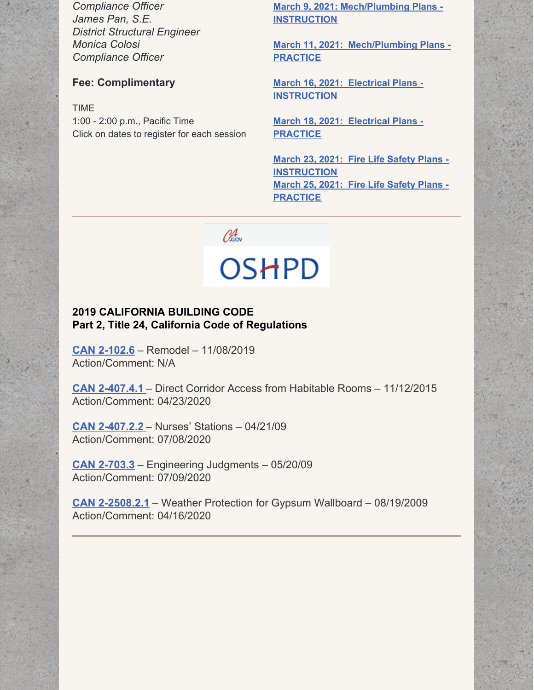*Compliance Officer James Pan, S.E. District Structural Engineer Monica Colosi Compliance Officer*

### **Fee: Complimentary**

TIME 1:00 - 2:00 p.m., Pacific Time

Click on dates to register for each session

**March 9, 2021: [Mech/Plumbing](https://oshpd.us3.list-manage.com/track/click?u=b5eac4ceeea1d878cfffc1696&id=e6038ca4c8&e=bf3938caab) Plans - INSTRUCTION**

**March 11, 2021: [Mech/Plumbing](https://oshpd.us3.list-manage.com/track/click?u=b5eac4ceeea1d878cfffc1696&id=3a16cb720a&e=bf3938caab) Plans - PRACTICE**

**March 16, 2021: Electrical Plans - [INSTRUCTION](https://oshpd.us3.list-manage.com/track/click?u=b5eac4ceeea1d878cfffc1696&id=4836f822b5&e=bf3938caab)**

**March 18, 2021: Electrical Plans - [PRACTICE](https://oshpd.us3.list-manage.com/track/click?u=b5eac4ceeea1d878cfffc1696&id=f4fb793777&e=bf3938caab)**

**March 23, 2021: Fire Life Safety Plans - [INSTRUCTION](https://oshpd.us3.list-manage.com/track/click?u=b5eac4ceeea1d878cfffc1696&id=40680dffc1&e=bf3938caab) March 25, 2021: Fire Life Safety Plans - [PRACTICE](https://oshpd.us3.list-manage.com/track/click?u=b5eac4ceeea1d878cfffc1696&id=032256ecdc&e=bf3938caab)**

![](_page_8_Picture_9.jpeg)

### **2019 CALIFORNIA BUILDING CODE Part 2, Title 24, California Code of Regulations**

**CAN [2-102.6](https://oshpd.ca.gov/ml/v1/resources/document?rs:path=/Construction-And-Finance/Documents/Resources/Codes-and-Regulations/Code-Application-Notices-CANs/2019/CAN-2019-Building-Code-2-102.6-Remodel.pdf)** – Remodel – 11/08/2019 Action/Comment: N/A

**CAN [2-407.4.1](https://oshpd.ca.gov/ml/v1/resources/document?rs:path=/Construction-And-Finance/Documents/Resources/Codes-and-Regulations/Code-Application-Notices-CANs/2019/CAN-2-407.4.1_Direct-Corridor-Access-from-Habitable-Rooms_Rev-042320_ACC.pdf)** – Direct Corridor Access from Habitable Rooms – 11/12/2015 Action/Comment: 04/23/2020

**CAN [2-407.2.2](https://oshpd.ca.gov/ml/v1/resources/document?rs:path=/Construction-And-Finance/Documents/Resources/Codes-and-Regulations/Code-Application-Notices-CANs/2019/CAN2-407.2.2_Nurses-Stations_A.pdf)** – Nurses' Stations – 04/21/09 Action/Comment: 07/08/2020

**CAN [2-703.3](https://oshpd.ca.gov/ml/v1/resources/document?rs:path=/Construction-And-Finance/Documents/Resources/Codes-and-Regulations/Code-Application-Notices-CANs/2019/CAN2-703.3_Engineering-Judgments_A.pdf)** – Engineering Judgments – 05/20/09 Action/Comment: 07/09/2020

**CAN [2-2508.2.1](https://oshpd.ca.gov/ml/v1/resources/document?rs:path=/Construction-And-Finance/Documents/Resources/Codes-and-Regulations/Code-Application-Notices-CANs/2019/CAN-2-2508.2.1_Weather-Protection-for-GypsumWallboard_Rev041620_Final.pdf)** – Weather Protection for Gypsum Wallboard – 08/19/2009 Action/Comment: 04/16/2020